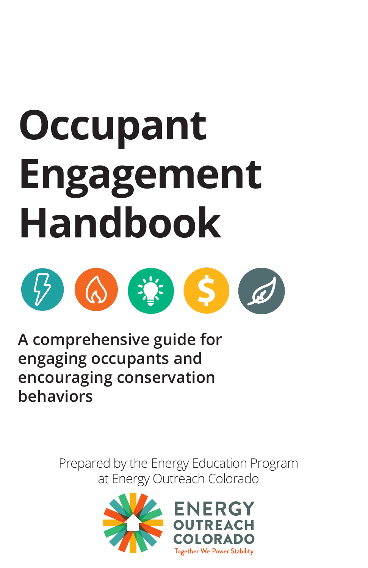# **Occupant Engagement Handbook**



**A comprehensive guide for engaging occupants and encouraging conservation behaviors**

> Prepared by the Energy Education Program at Energy Outreach Colorado

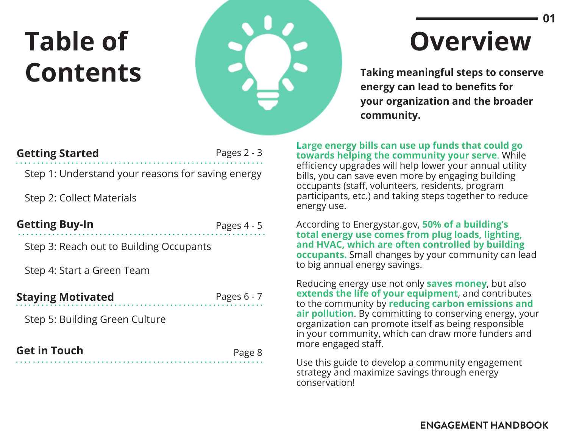# **Table of Contents**



# **Overview**

**Taking meaningful steps to conserve energy can lead to benefits for your organization and the broader community.**

**Large energy bills can use up funds that could go towards helping the community your serve**. While efficiency upgrades will help lower your annual utility bills, you can save even more by engaging building occupants (staff, volunteers, residents, program participants, etc.) and taking steps together to reduce energy use.

According to Energystar.gov, **50% of a building's total energy use comes from plug loads, lighting, and HVAC, which are often controlled by building occupants.** Small changes by your community can lead to big annual energy savings.

Reducing energy use not only **saves money**, but also **extends the life of your equipment**, and contributes to the community by **reducing carbon emissions and air pollution**. By committing to conserving energy, your organization can promote itself as being responsible in your community, which can draw more funders and more engaged staff.

Use this guide to develop a community engagement strategy and maximize savings through energy conservation!

### **Getting Started**

Pages 2 - 3

Step 1: Understand your reasons for saving energy

Step 2: Collect Materials

| <b>Getting Buy-In</b> |  |
|-----------------------|--|
|-----------------------|--|

Pages 4 - 5

Step 3: Reach out to Building Occupants

Step 4: Start a Green Team

#### **Staying Motivated** Pages 6 - 7

Step 5: Building Green Culture

| <b>Get in Touch</b> | Page 8 |
|---------------------|--------|
|                     |        |

**ENGAGEMENT HANDBOOK**

**01**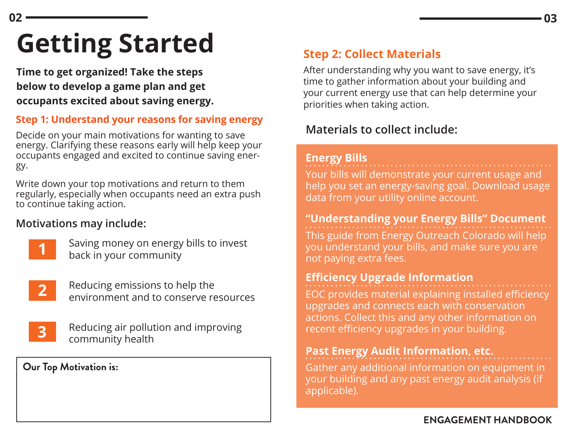# **Getting Started**

**Time to get organized! Take the steps below to develop a game plan and get occupants excited about saving energy.** 

### **Step 1: Understand your reasons for saving energy**

Decide on your main motivations for wanting to save energy. Clarifying these reasons early will help keep your occupants engaged and excited to continue saving energy.

Write down your top motivations and return to them regularly, especially when occupants need an extra push to continue taking action.

### **Motivations may include:**



**02**

Saving money on energy bills to invest back in your community



Reducing emissions to help the environment and to conserve resources



Reducing air pollution and improving community health

#### **Our Top Motivation is:**

# **Step 2: Collect Materials**

After understanding why you want to save energy, it's time to gather information about your building and your current energy use that can help determine your priorities when taking action.

# **Materials to collect include:**

#### **Energy Bills**

Your bills will demonstrate your current usage and help you set an energy-saving goal. Download usage data from your utility online account.

#### **"Understanding your Energy Bills" Document**

This guide from Energy Outreach Colorado will help you understand your bills, and make sure you are not paying extra fees.

### **Efficiency Upgrade Information**

EOC provides material explaining installed efficiency upgrades and connects each with conservation actions. Collect this and any other information on recent efficiency upgrades in your building.

### **Past Energy Audit Information, etc.**

Gather any additional information on equipment in your building and any past energy audit analysis (if applicable).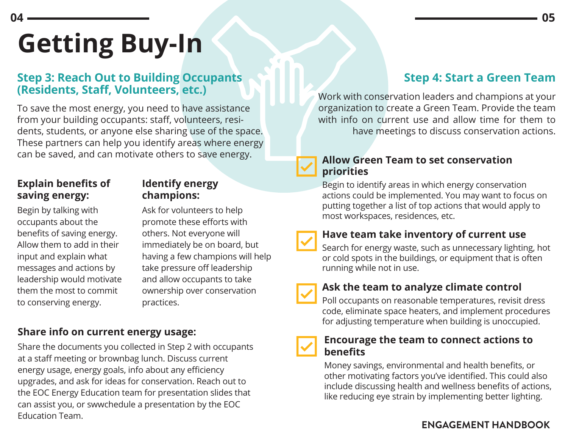# **Step 3: Reach Out to Building Occupants (Residents, Staff, Volunteers, etc.)**

To save the most energy, you need to have assistance from your building occupants: staff, volunteers, residents, students, or anyone else sharing use of the space. These partners can help you identify areas where energy can be saved, and can motivate others to save energy.

### **Explain benefits of saving energy:**

**04**

Begin by talking with occupants about the benefits of saving energy. Allow them to add in their input and explain what messages and actions by leadership would motivate them the most to commit to conserving energy.

### **Identify energy champions:**

Ask for volunteers to help promote these efforts with others. Not everyone will immediately be on board, but having a few champions will help take pressure off leadership and allow occupants to take ownership over conservation practices.

## **Share info on current energy usage:**

Share the documents you collected in Step 2 with occupants at a staff meeting or brownbag lunch. Discuss current energy usage, energy goals, info about any efficiency upgrades, and ask for ideas for conservation. Reach out to the EOC Energy Education team for presentation slides that can assist you, or swwchedule a presentation by the EOC Education Team.

# **Step 4: Start a Green Team**

Work with conservation leaders and champions at your organization to create a Green Team. Provide the team with info on current use and allow time for them to have meetings to discuss conservation actions.

#### **Allow Green Team to set conservation priorities**

Begin to identify areas in which energy conservation actions could be implemented. You may want to focus on putting together a list of top actions that would apply to most workspaces, residences, etc.

#### **Have team take inventory of current use**

Search for energy waste, such as unnecessary lighting, hot or cold spots in the buildings, or equipment that is often running while not in use.

### **Ask the team to analyze climate control**

Poll occupants on reasonable temperatures, revisit dress code, eliminate space heaters, and implement procedures for adjusting temperature when building is unoccupied.

#### **Encourage the team to connect actions to benefits**

Money savings, environmental and health benefits, or other motivating factors you've identified. This could also include discussing health and wellness benefits of actions, like reducing eye strain by implementing better lighting.

## **ENGAGEMENT HANDBOOK**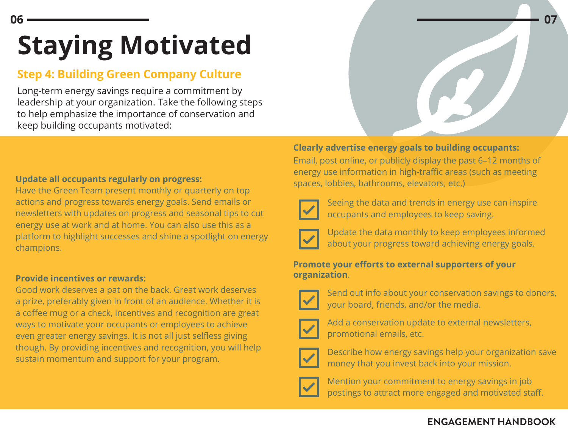# **Staying Motivated**

# **Step 4: Building Green Company Culture**

Long-term energy savings require a commitment by leadership at your organization. Take the following steps to help emphasize the importance of conservation and keep building occupants motivated:

#### **Update all occupants regularly on progress:**

Have the Green Team present monthly or quarterly on top actions and progress towards energy goals. Send emails or newsletters with updates on progress and seasonal tips to cut energy use at work and at home. You can also use this as a platform to highlight successes and shine a spotlight on energy champions.

#### **Provide incentives or rewards:**

Good work deserves a pat on the back. Great work deserves a prize, preferably given in front of an audience. Whether it is a coffee mug or a check, incentives and recognition are great ways to motivate your occupants or employees to achieve even greater energy savings. It is not all just selfless giving though. By providing incentives and recognition, you will help sustain momentum and support for your program.

#### **Clearly advertise energy goals to building occupants:**

Email, post online, or publicly display the past 6–12 months of energy use information in high-traffic areas (such as meeting spaces, lobbies, bathrooms, elevators, etc.)



Seeing the data and trends in energy use can inspire occupants and employees to keep saving.



Update the data monthly to keep employees informed about your progress toward achieving energy goals.

#### **Promote your efforts to external supporters of your organization**.



Send out info about your conservation savings to donors, your board, friends, and/or the media.



Add a conservation update to external newsletters, promotional emails, etc.



Describe how energy savings help your organization save money that you invest back into your mission.



Mention your commitment to energy savings in job postings to attract more engaged and motivated staff.

#### **ENGAGEMENT HANDBOOK**